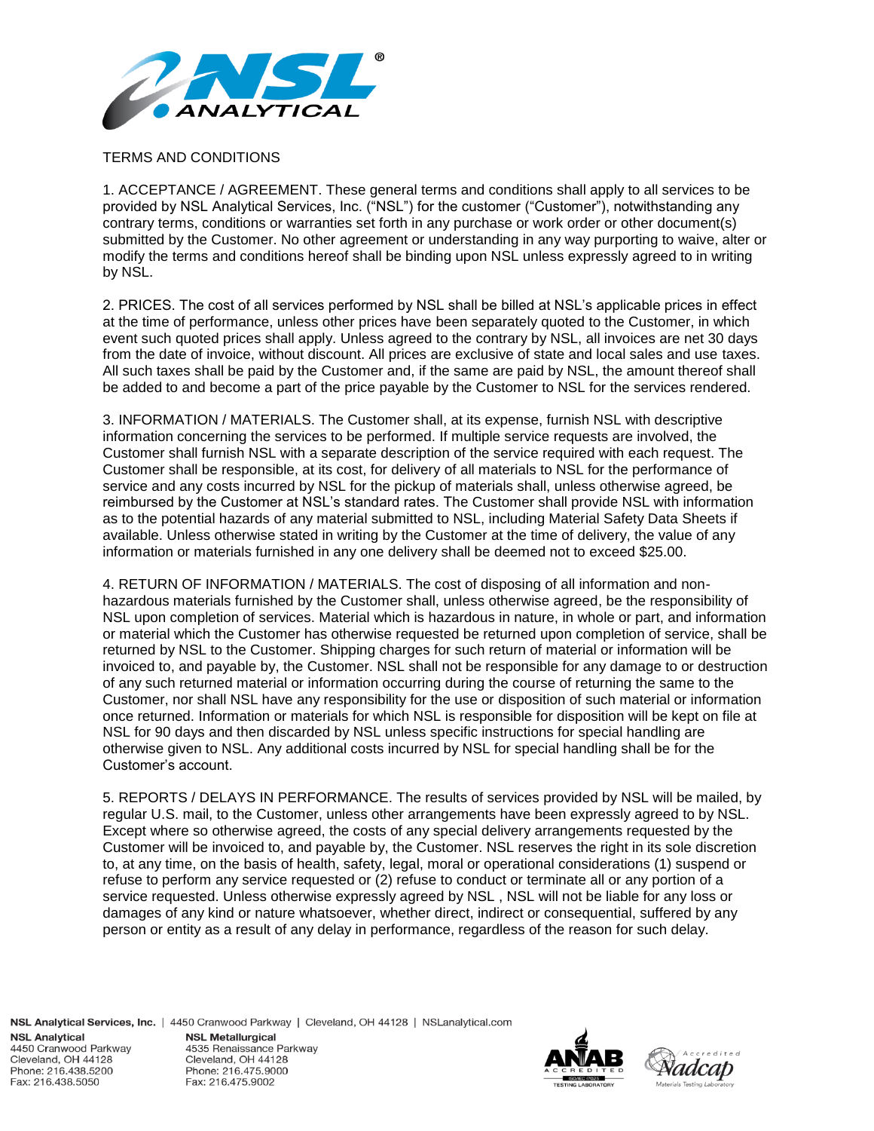

## TERMS AND CONDITIONS

1. ACCEPTANCE / AGREEMENT. These general terms and conditions shall apply to all services to be provided by NSL Analytical Services, Inc. ("NSL") for the customer ("Customer"), notwithstanding any contrary terms, conditions or warranties set forth in any purchase or work order or other document(s) submitted by the Customer. No other agreement or understanding in any way purporting to waive, alter or modify the terms and conditions hereof shall be binding upon NSL unless expressly agreed to in writing by NSL.

2. PRICES. The cost of all services performed by NSL shall be billed at NSL's applicable prices in effect at the time of performance, unless other prices have been separately quoted to the Customer, in which event such quoted prices shall apply. Unless agreed to the contrary by NSL, all invoices are net 30 days from the date of invoice, without discount. All prices are exclusive of state and local sales and use taxes. All such taxes shall be paid by the Customer and, if the same are paid by NSL, the amount thereof shall be added to and become a part of the price payable by the Customer to NSL for the services rendered.

3. INFORMATION / MATERIALS. The Customer shall, at its expense, furnish NSL with descriptive information concerning the services to be performed. If multiple service requests are involved, the Customer shall furnish NSL with a separate description of the service required with each request. The Customer shall be responsible, at its cost, for delivery of all materials to NSL for the performance of service and any costs incurred by NSL for the pickup of materials shall, unless otherwise agreed, be reimbursed by the Customer at NSL's standard rates. The Customer shall provide NSL with information as to the potential hazards of any material submitted to NSL, including Material Safety Data Sheets if available. Unless otherwise stated in writing by the Customer at the time of delivery, the value of any information or materials furnished in any one delivery shall be deemed not to exceed \$25.00.

4. RETURN OF INFORMATION / MATERIALS. The cost of disposing of all information and nonhazardous materials furnished by the Customer shall, unless otherwise agreed, be the responsibility of NSL upon completion of services. Material which is hazardous in nature, in whole or part, and information or material which the Customer has otherwise requested be returned upon completion of service, shall be returned by NSL to the Customer. Shipping charges for such return of material or information will be invoiced to, and payable by, the Customer. NSL shall not be responsible for any damage to or destruction of any such returned material or information occurring during the course of returning the same to the Customer, nor shall NSL have any responsibility for the use or disposition of such material or information once returned. Information or materials for which NSL is responsible for disposition will be kept on file at NSL for 90 days and then discarded by NSL unless specific instructions for special handling are otherwise given to NSL. Any additional costs incurred by NSL for special handling shall be for the Customer's account.

5. REPORTS / DELAYS IN PERFORMANCE. The results of services provided by NSL will be mailed, by regular U.S. mail, to the Customer, unless other arrangements have been expressly agreed to by NSL. Except where so otherwise agreed, the costs of any special delivery arrangements requested by the Customer will be invoiced to, and payable by, the Customer. NSL reserves the right in its sole discretion to, at any time, on the basis of health, safety, legal, moral or operational considerations (1) suspend or refuse to perform any service requested or (2) refuse to conduct or terminate all or any portion of a service requested. Unless otherwise expressly agreed by NSL , NSL will not be liable for any loss or damages of any kind or nature whatsoever, whether direct, indirect or consequential, suffered by any person or entity as a result of any delay in performance, regardless of the reason for such delay.

NSL Analytical Services, Inc. | 4450 Cranwood Parkway | Cleveland, OH 44128 | NSLanalytical.com **NSL Analytical NSL Metallurgical** 4450 Cranwood Parkway 4535 Renaissance Parkway Cleveland, OH 44128 Cleveland, OH 44128 Phone: 216.438.5200 Phone: 216.475.9000 Fax: 216.438.5050 Fax: 216.475.9002